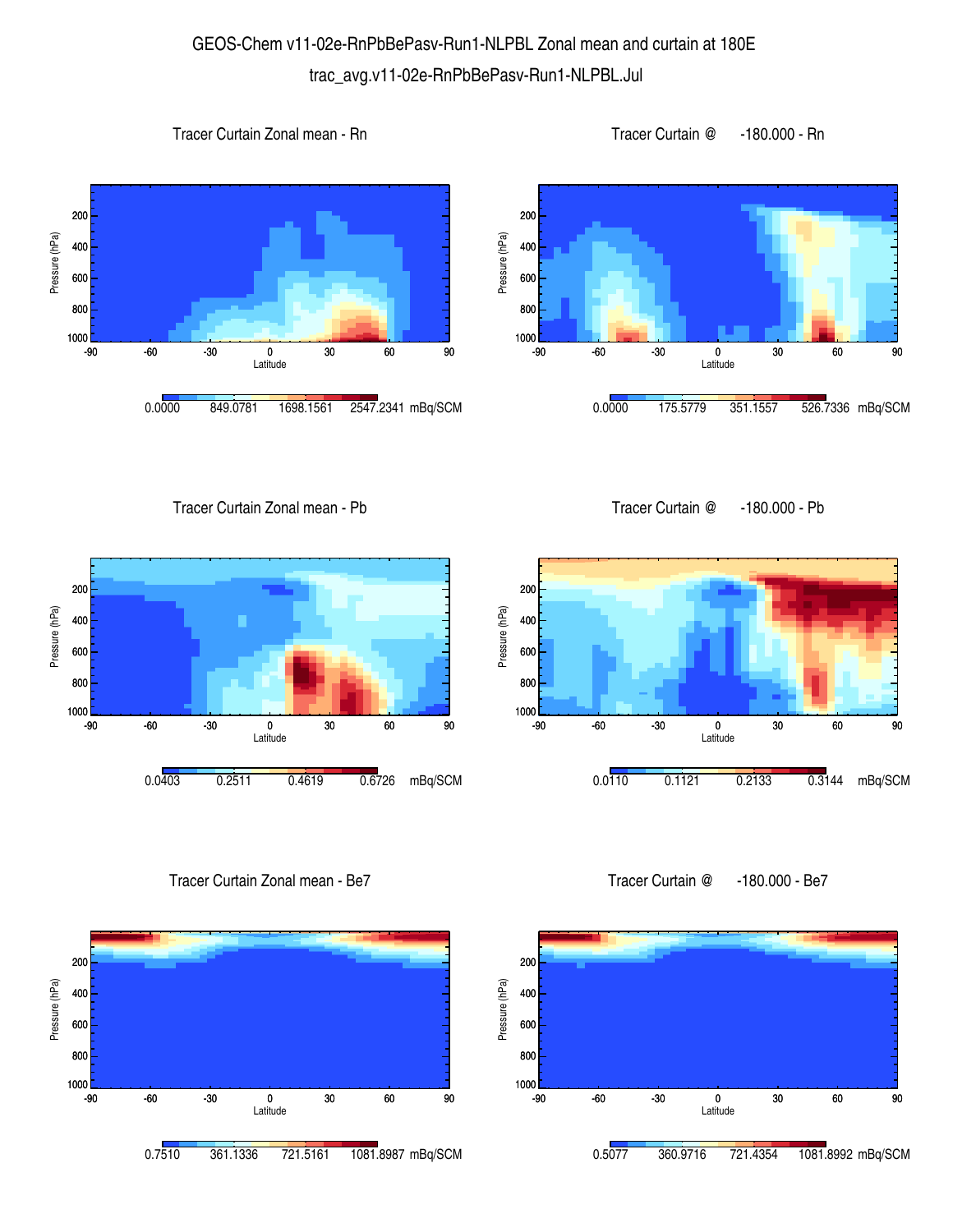## GEOS-Chem v11-02e-RnPbBePasv-Run1-NLPBL Zonal mean and curtain at 180E trac\_avg.v11-02e-RnPbBePasv-Run1-NLPBL.Jul









Tracer Curtain Zonal mean - Pb



Tracer Curtain Zonal mean - Be7



Tracer Curtain @ -180.000 - Pb



Tracer Curtain @ -180.000 - Be7